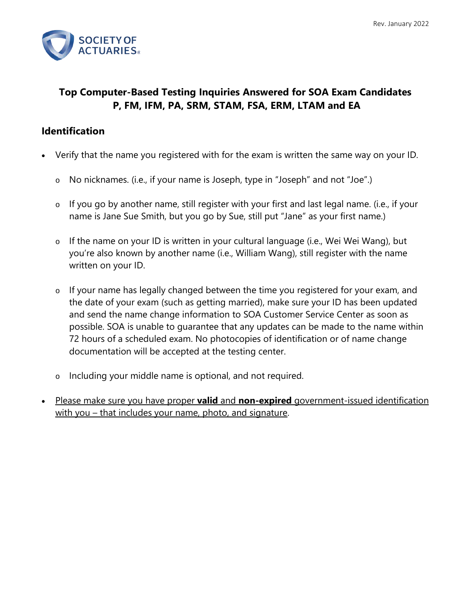

# **Top Computer-Based Testing Inquiries Answered for SOA Exam Candidates P, FM, IFM, PA, SRM, STAM, FSA, ERM, LTAM and EA**

#### **Identification**

- Verify that the name you registered with for the exam is written the same way on your ID.
	- o No nicknames. (i.e., if your name is Joseph, type in "Joseph" and not "Joe".)
	- o If you go by another name, still register with your first and last legal name. (i.e., if your name is Jane Sue Smith, but you go by Sue, still put "Jane" as your first name.)
	- o If the name on your ID is written in your cultural language (i.e., Wei Wei Wang), but you're also known by another name (i.e., William Wang), still register with the name written on your ID.
	- o If your name has legally changed between the time you registered for your exam, and the date of your exam (such as getting married), make sure your ID has been updated and send the name change information to SOA Customer Service Center as soon as possible. SOA is unable to guarantee that any updates can be made to the name within 72 hours of a scheduled exam. No photocopies of identification or of name change documentation will be accepted at the testing center.
	- o Including your middle name is optional, and not required.
- [Please make sure you have proper](https://www.soa.org/Education/Exam-Req/Exam-Day-Info/edu-id-calculators.aspx) **valid** and **non-expired** government-issued identification [with you – that includes your name, photo, and signature.](https://www.soa.org/Education/Exam-Req/Exam-Day-Info/edu-id-calculators.aspx)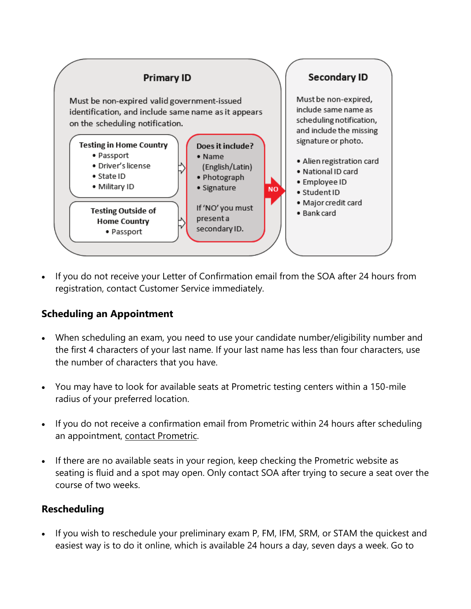

If you do not receive your Letter of Confirmation email from the SOA after 24 hours from registration, contact Customer Service immediately.

## **Scheduling an Appointment**

- When scheduling an exam, you need to use your candidate number/eligibility number and the first 4 characters of your last name. If your last name has less than four characters, use the number of characters that you have.
- You may have to look for available seats at Prometric testing centers within a 150-mile radius of your preferred location.
- If you do not receive a confirmation email from Prometric within 24 hours after scheduling an appointment, [contact Prometric.](https://www.prometric.com/en-us/clients/pages/contact-numbers.aspx?client=SOA)
- If there are no available seats in your region, keep checking the Prometric website as seating is fluid and a spot may open. Only contact SOA after trying to secure a seat over the course of two weeks.

# **Rescheduling**

• If you wish to reschedule your preliminary exam P, FM, IFM, SRM, or STAM the quickest and easiest way is to do it online, which is available 24 hours a day, seven days a week. Go to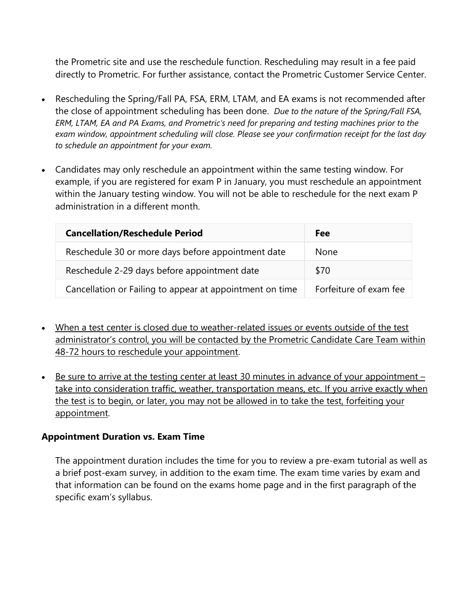the [Prometric](https://www.prometric.com/en-us/clients/soa/Pages/landing.aspx) site and use the reschedule function. Rescheduling may result in a fee paid directly to Prometric. For further assistance, contact the [Prometric Customer Service Center.](https://www.prometric.com/en-us/clients/pages/contact-numbers.aspx?client=SOA)

- Rescheduling the Spring/Fall PA, FSA, ERM, LTAM, and EA exams is not recommended after the close of appointment scheduling has been done. *Due to the nature of the Spring/Fall FSA, ERM, LTAM, EA and PA Exams, and Prometric's need for preparing and testing machines prior to the exam window, appointment scheduling will close. Please see your confirmation receipt for the last day to schedule an appointment for your exam.*
- Candidates may only reschedule an appointment within the same testing window. For example, if you are registered for exam P in January, you must reschedule an appointment within the January testing window. You will not be able to reschedule for the next exam P administration in a different month.

| <b>Cancellation/Reschedule Period</b>                    | Fee                    |
|----------------------------------------------------------|------------------------|
| Reschedule 30 or more days before appointment date       | <b>None</b>            |
| Reschedule 2-29 days before appointment date             | \$70                   |
| Cancellation or Failing to appear at appointment on time | Forfeiture of exam fee |

- [When a test center is closed due to weather-related issues or events outside of the test](https://www.soa.org/Education/Exam-Req/Exam-Day-Info/edu-tech-difficulties-center-closing.aspx)  [administrator's control, you will be contacted by the Prometric Candidate Care Team within](https://www.soa.org/Education/Exam-Req/Exam-Day-Info/edu-tech-difficulties-center-closing.aspx)  [48-72 hours to reschedule your appointment.](https://www.soa.org/Education/Exam-Req/Exam-Day-Info/edu-tech-difficulties-center-closing.aspx)
- [Be sure to arrive at the testing center at least 30 minutes in advance of your appointment](https://www.soa.org/Education/Exam-Req/Exam-Day-Info/edu-procedures-for-exam-day.aspx)  [take into consideration traffic, weather, transportation means, etc. If you arrive exactly when](https://www.soa.org/Education/Exam-Req/Exam-Day-Info/edu-procedures-for-exam-day.aspx)  [the test is to begin, or later, you may not be allowed in to take the test, forfeiting your](https://www.soa.org/Education/Exam-Req/Exam-Day-Info/edu-procedures-for-exam-day.aspx)  [appointment.](https://www.soa.org/Education/Exam-Req/Exam-Day-Info/edu-procedures-for-exam-day.aspx)

#### **Appointment Duration vs. Exam Time**

The appointment duration includes the time for you to review a pre-exam tutorial as well as a brief post-exam survey, in addition to the exam time. The exam time varies by exam and that information can be found on the exams home page and in the first paragraph of the specific exam's syllabus.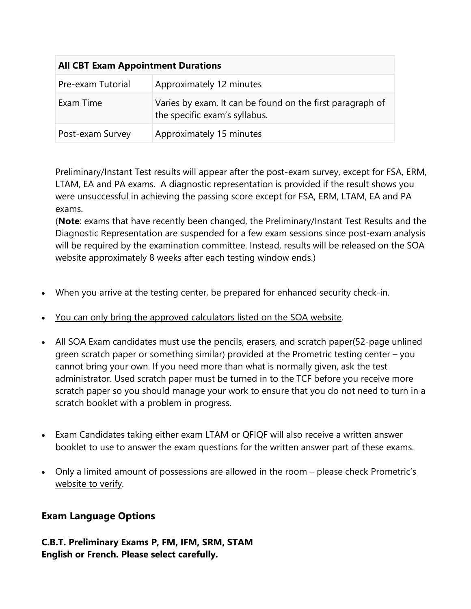| <b>All CBT Exam Appointment Durations</b> |                                                                                            |
|-------------------------------------------|--------------------------------------------------------------------------------------------|
| Pre-exam Tutorial                         | Approximately 12 minutes                                                                   |
| Exam Time                                 | Varies by exam. It can be found on the first paragraph of<br>the specific exam's syllabus. |
| Post-exam Survey                          | Approximately 15 minutes                                                                   |

Preliminary/Instant Test results will appear after the post-exam survey, except for FSA, ERM, LTAM, EA and PA exams. A diagnostic representation is provided if the result shows you were unsuccessful in achieving the passing score except for FSA, ERM, LTAM, EA and PA exams.

(**Note**: exams that have recently been changed, the Preliminary/Instant Test Results and the Diagnostic Representation are suspended for a few exam sessions since post-exam analysis will be required by the examination committee. Instead, results will be released on the SOA website approximately 8 weeks after each testing window ends.)

- [When you arrive at the testing center, be prepared for enhanced security check-in.](https://www.prometric.com/en-us/for-test-takers/pages/Test-Center-Security.aspx)
- [You can only bring the approved calculators listed on the SOA website.](https://www.soa.org/Education/Exam-Req/Exam-Day-Info/edu-id-calculators.aspx)
- All SOA Exam candidates must use the pencils, erasers, and scratch paper(52-page unlined green scratch paper or something similar) provided at the Prometric testing center – you cannot bring your own. If you need more than what is normally given, ask the test administrator. Used scratch paper must be turned in to the TCF before you receive more scratch paper so you should manage your work to ensure that you do not need to turn in a scratch booklet with a problem in progress.
- Exam Candidates taking either exam LTAM or QFIQF will also receive a written answer booklet to use to answer the exam questions for the written answer part of these exams.
- [Only a limited amount of possessions are allowed in the room please check Prometric's](https://www.prometric.com/en-us/for-test-takers/prepare-for-test-day/documents/TestCenterRegulations.pdf)  [website to verify.](https://www.prometric.com/en-us/for-test-takers/prepare-for-test-day/documents/TestCenterRegulations.pdf)

## **Exam Language Options**

**C.B.T. Preliminary Exams P, FM, IFM, SRM, STAM English or French. Please select carefully.**